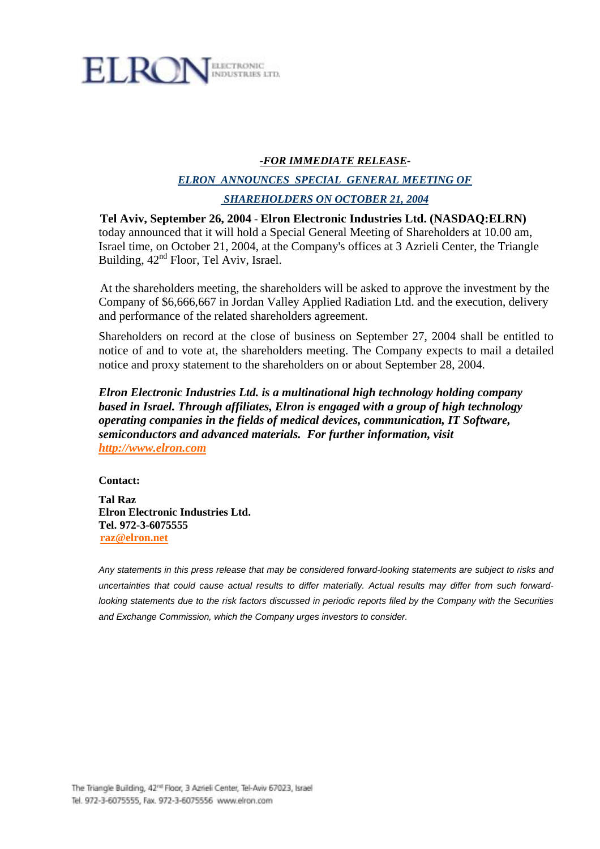

# *-FOR IMMEDIATE RELEASE-*

# *ELRON ANNOUNCES SPECIAL GENERAL MEETING OF SHAREHOLDERS ON OCTOBER 21, 2004*

**Tel Aviv, September 26, 2004 - Elron Electronic Industries Ltd. (NASDAQ:ELRN)** today announced that it will hold a Special General Meeting of Shareholders at 10.00 am, Israel time, on October 21, 2004, at the Company's offices at 3 Azrieli Center, the Triangle Building, 42nd Floor, Tel Aviv, Israel.

At the shareholders meeting, the shareholders will be asked to approve the investment by the Company of \$6,666,667 in Jordan Valley Applied Radiation Ltd. and the execution, delivery and performance of the related shareholders agreement.

Shareholders on record at the close of business on September 27, 2004 shall be entitled to notice of and to vote at, the shareholders meeting. The Company expects to mail a detailed notice and proxy statement to the shareholders on or about September 28, 2004.

*Elron Electronic Industries Ltd. is a multinational high technology holding company based in Israel. Through affiliates, Elron is engaged with a group of high technology operating companies in the fields of medical devices, communication, IT Software, semiconductors and advanced materials. For further information, visit http://www.elron.com*

**Contact:** 

**Tal Raz Elron Electronic Industries Ltd. Tel. 972-3-6075555 raz@elron.net** 

*Any statements in this press release that may be considered forward-looking statements are subject to risks and uncertainties that could cause actual results to differ materially. Actual results may differ from such forwardlooking statements due to the risk factors discussed in periodic reports filed by the Company with the Securities and Exchange Commission, which the Company urges investors to consider.*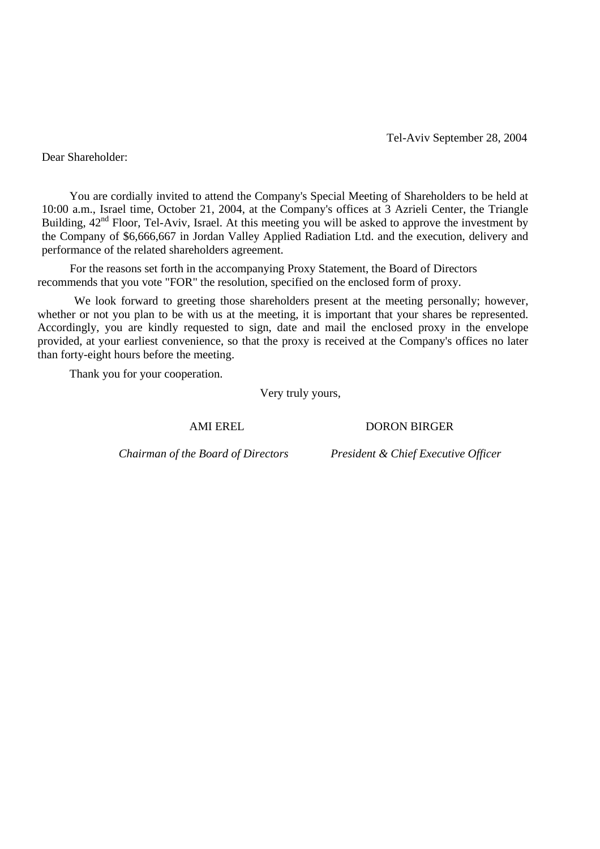Tel-Aviv September 28, 2004

Dear Shareholder:

You are cordially invited to attend the Company's Special Meeting of Shareholders to be held at 10:00 a.m., Israel time, October 21, 2004, at the Company's offices at 3 Azrieli Center, the Triangle Building,  $42<sup>nd</sup>$  Floor, Tel-Aviv, Israel. At this meeting you will be asked to approve the investment by the Company of \$6,666,667 in Jordan Valley Applied Radiation Ltd. and the execution, delivery and performance of the related shareholders agreement.

For the reasons set forth in the accompanying Proxy Statement, the Board of Directors recommends that you vote "FOR" the resolution, specified on the enclosed form of proxy.

We look forward to greeting those shareholders present at the meeting personally; however, whether or not you plan to be with us at the meeting, it is important that your shares be represented. Accordingly, you are kindly requested to sign, date and mail the enclosed proxy in the envelope provided, at your earliest convenience, so that the proxy is received at the Company's offices no later than forty-eight hours before the meeting.

Thank you for your cooperation.

Very truly yours,

AMI EREL DORON BIRGER

*Chairman of the Board of Directors President & Chief Executive Officer*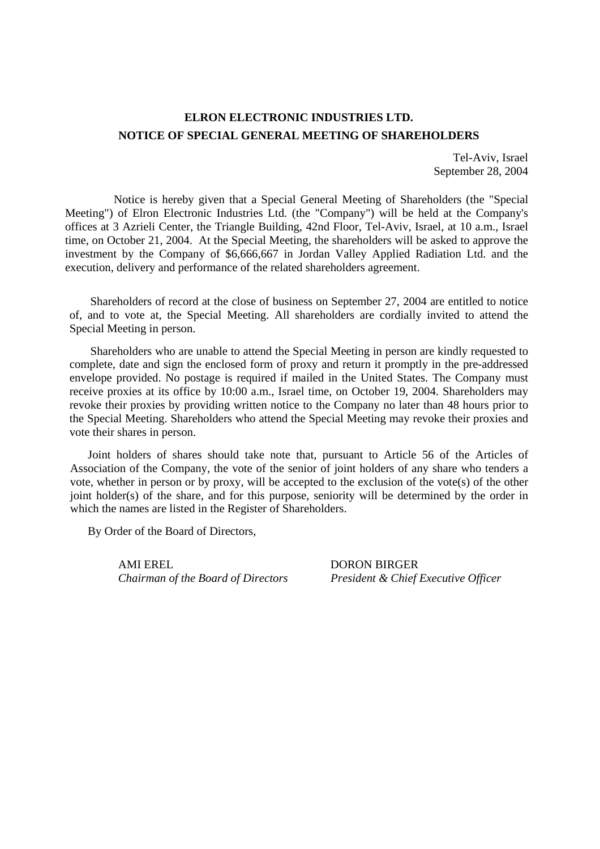# **ELRON ELECTRONIC INDUSTRIES LTD. NOTICE OF SPECIAL GENERAL MEETING OF SHAREHOLDERS**

Tel-Aviv, Israel September 28, 2004

Notice is hereby given that a Special General Meeting of Shareholders (the "Special Meeting") of Elron Electronic Industries Ltd. (the "Company") will be held at the Company's offices at 3 Azrieli Center, the Triangle Building, 42nd Floor, Tel-Aviv, Israel, at 10 a.m., Israel time, on October 21, 2004. At the Special Meeting, the shareholders will be asked to approve the investment by the Company of \$6,666,667 in Jordan Valley Applied Radiation Ltd. and the execution, delivery and performance of the related shareholders agreement.

Shareholders of record at the close of business on September 27, 2004 are entitled to notice of, and to vote at, the Special Meeting. All shareholders are cordially invited to attend the Special Meeting in person.

Shareholders who are unable to attend the Special Meeting in person are kindly requested to complete, date and sign the enclosed form of proxy and return it promptly in the pre-addressed envelope provided. No postage is required if mailed in the United States. The Company must receive proxies at its office by 10:00 a.m., Israel time, on October 19, 2004. Shareholders may revoke their proxies by providing written notice to the Company no later than 48 hours prior to the Special Meeting. Shareholders who attend the Special Meeting may revoke their proxies and vote their shares in person.

Joint holders of shares should take note that, pursuant to Article 56 of the Articles of Association of the Company, the vote of the senior of joint holders of any share who tenders a vote, whether in person or by proxy, will be accepted to the exclusion of the vote(s) of the other joint holder(s) of the share, and for this purpose, seniority will be determined by the order in which the names are listed in the Register of Shareholders.

By Order of the Board of Directors,

AMI EREL DORON BIRGER

*Chairman of the Board of Directors President & Chief Executive Officer*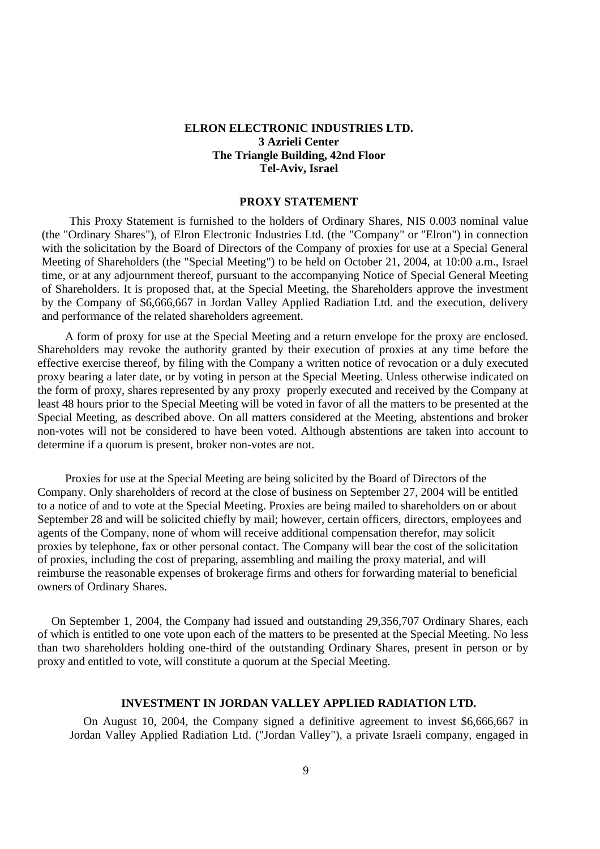## **ELRON ELECTRONIC INDUSTRIES LTD. 3 Azrieli Center The Triangle Building, 42nd Floor Tel-Aviv, Israel**

#### **PROXY STATEMENT**

This Proxy Statement is furnished to the holders of Ordinary Shares, NIS 0.003 nominal value (the "Ordinary Shares"), of Elron Electronic Industries Ltd. (the "Company" or "Elron") in connection with the solicitation by the Board of Directors of the Company of proxies for use at a Special General Meeting of Shareholders (the "Special Meeting") to be held on October 21, 2004, at 10:00 a.m., Israel time, or at any adjournment thereof, pursuant to the accompanying Notice of Special General Meeting of Shareholders. It is proposed that, at the Special Meeting, the Shareholders approve the investment by the Company of \$6,666,667 in Jordan Valley Applied Radiation Ltd. and the execution, delivery and performance of the related shareholders agreement.

A form of proxy for use at the Special Meeting and a return envelope for the proxy are enclosed. Shareholders may revoke the authority granted by their execution of proxies at any time before the effective exercise thereof, by filing with the Company a written notice of revocation or a duly executed proxy bearing a later date, or by voting in person at the Special Meeting. Unless otherwise indicated on the form of proxy, shares represented by any proxy properly executed and received by the Company at least 48 hours prior to the Special Meeting will be voted in favor of all the matters to be presented at the Special Meeting, as described above. On all matters considered at the Meeting, abstentions and broker non-votes will not be considered to have been voted. Although abstentions are taken into account to determine if a quorum is present, broker non-votes are not.

Proxies for use at the Special Meeting are being solicited by the Board of Directors of the Company. Only shareholders of record at the close of business on September 27, 2004 will be entitled to a notice of and to vote at the Special Meeting. Proxies are being mailed to shareholders on or about September 28 and will be solicited chiefly by mail; however, certain officers, directors, employees and agents of the Company, none of whom will receive additional compensation therefor, may solicit proxies by telephone, fax or other personal contact. The Company will bear the cost of the solicitation of proxies, including the cost of preparing, assembling and mailing the proxy material, and will reimburse the reasonable expenses of brokerage firms and others for forwarding material to beneficial owners of Ordinary Shares.

On September 1, 2004, the Company had issued and outstanding 29,356,707 Ordinary Shares, each of which is entitled to one vote upon each of the matters to be presented at the Special Meeting. No less than two shareholders holding one-third of the outstanding Ordinary Shares, present in person or by proxy and entitled to vote, will constitute a quorum at the Special Meeting.

### **INVESTMENT IN JORDAN VALLEY APPLIED RADIATION LTD.**

On August 10, 2004, the Company signed a definitive agreement to invest \$6,666,667 in Jordan Valley Applied Radiation Ltd. ("Jordan Valley"), a private Israeli company, engaged in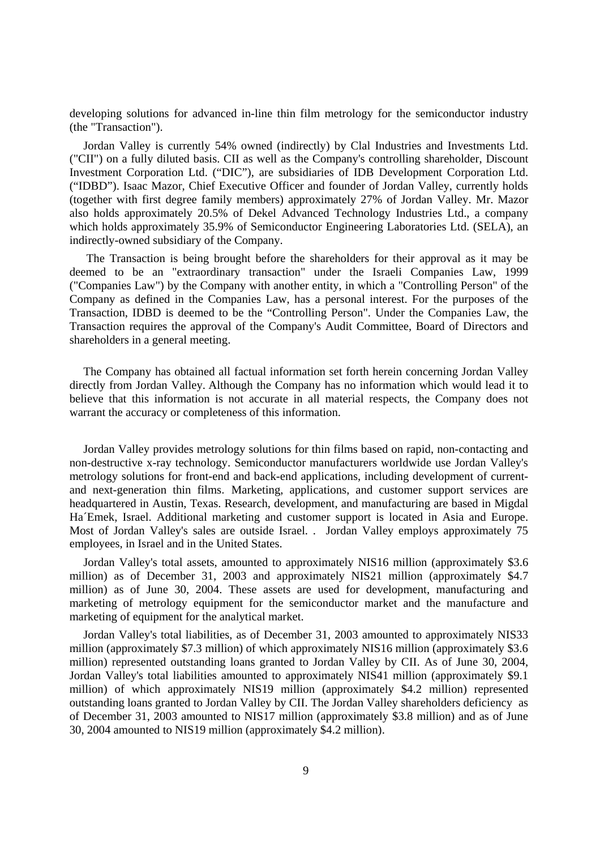developing solutions for advanced in-line thin film metrology for the semiconductor industry (the "Transaction").

Jordan Valley is currently 54% owned (indirectly) by Clal Industries and Investments Ltd. ("CII") on a fully diluted basis. CII as well as the Company's controlling shareholder, Discount Investment Corporation Ltd. ("DIC"), are subsidiaries of IDB Development Corporation Ltd. ("IDBD"). Isaac Mazor, Chief Executive Officer and founder of Jordan Valley, currently holds (together with first degree family members) approximately 27% of Jordan Valley. Mr. Mazor also holds approximately 20.5% of Dekel Advanced Technology Industries Ltd., a company which holds approximately 35.9% of Semiconductor Engineering Laboratories Ltd. (SELA), an indirectly-owned subsidiary of the Company.

 The Transaction is being brought before the shareholders for their approval as it may be deemed to be an "extraordinary transaction" under the Israeli Companies Law, 1999 ("Companies Law") by the Company with another entity, in which a "Controlling Person" of the Company as defined in the Companies Law, has a personal interest. For the purposes of the Transaction, IDBD is deemed to be the "Controlling Person". Under the Companies Law, the Transaction requires the approval of the Company's Audit Committee, Board of Directors and shareholders in a general meeting.

The Company has obtained all factual information set forth herein concerning Jordan Valley directly from Jordan Valley. Although the Company has no information which would lead it to believe that this information is not accurate in all material respects, the Company does not warrant the accuracy or completeness of this information.

Jordan Valley provides metrology solutions for thin films based on rapid, non-contacting and non-destructive x-ray technology. Semiconductor manufacturers worldwide use Jordan Valley's metrology solutions for front-end and back-end applications, including development of currentand next-generation thin films. Marketing, applications, and customer support services are headquartered in Austin, Texas. Research, development, and manufacturing are based in Migdal Ha´Emek, Israel. Additional marketing and customer support is located in Asia and Europe. Most of Jordan Valley's sales are outside Israel. . Jordan Valley employs approximately 75 employees, in Israel and in the United States.

Jordan Valley's total assets, amounted to approximately NIS16 million (approximately \$3.6 million) as of December 31, 2003 and approximately NIS21 million (approximately \$4.7 million) as of June 30, 2004. These assets are used for development, manufacturing and marketing of metrology equipment for the semiconductor market and the manufacture and marketing of equipment for the analytical market.

Jordan Valley's total liabilities, as of December 31, 2003 amounted to approximately NIS33 million (approximately \$7.3 million) of which approximately NIS16 million (approximately \$3.6 million) represented outstanding loans granted to Jordan Valley by CII. As of June 30, 2004, Jordan Valley's total liabilities amounted to approximately NIS41 million (approximately \$9.1 million) of which approximately NIS19 million (approximately \$4.2 million) represented outstanding loans granted to Jordan Valley by CII. The Jordan Valley shareholders deficiency as of December 31, 2003 amounted to NIS17 million (approximately \$3.8 million) and as of June 30, 2004 amounted to NIS19 million (approximately \$4.2 million).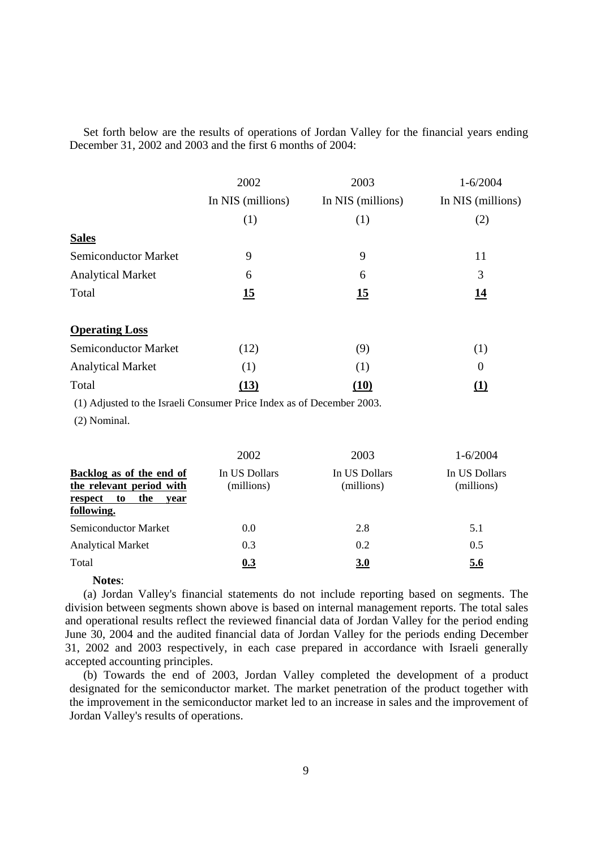Set forth below are the results of operations of Jordan Valley for the financial years ending December 31, 2002 and 2003 and the first 6 months of 2004:

|                             | 2002              | 2003              | $1 - 6/2004$      |
|-----------------------------|-------------------|-------------------|-------------------|
|                             | In NIS (millions) | In NIS (millions) | In NIS (millions) |
|                             | (1)               | (1)               | (2)               |
| <b>Sales</b>                |                   |                   |                   |
| <b>Semiconductor Market</b> | 9                 | 9                 | 11                |
| <b>Analytical Market</b>    | 6                 | 6                 | 3                 |
| Total                       | 15                | 15                | <u>14</u>         |
| <b>Operating Loss</b>       |                   |                   |                   |
| <b>Semiconductor Market</b> | (12)              | (9)               | (1)               |
| <b>Analytical Market</b>    | (1)               | (1)               | $\boldsymbol{0}$  |
| Total                       | (13)              | (10)              | (1)               |

(1) Adjusted to the Israeli Consumer Price Index as of December 2003.

(2) Nominal.

|                                                                                                    | 2002                        | 2003                        | $1 - 6/2004$                |
|----------------------------------------------------------------------------------------------------|-----------------------------|-----------------------------|-----------------------------|
| Backlog as of the end of<br>the relevant period with<br>the<br>respect<br>to<br>vear<br>following. | In US Dollars<br>(millions) | In US Dollars<br>(millions) | In US Dollars<br>(millions) |
| Semiconductor Market                                                                               | 0.0                         | 2.8                         | 5.1                         |
| <b>Analytical Market</b>                                                                           | 0.3                         | 0.2                         | 0.5                         |
| Total                                                                                              | 0.3                         | 3.0                         | 5.6                         |

## **Notes**:

(a) Jordan Valley's financial statements do not include reporting based on segments. The division between segments shown above is based on internal management reports. The total sales and operational results reflect the reviewed financial data of Jordan Valley for the period ending June 30, 2004 and the audited financial data of Jordan Valley for the periods ending December 31, 2002 and 2003 respectively, in each case prepared in accordance with Israeli generally accepted accounting principles.

(b) Towards the end of 2003, Jordan Valley completed the development of a product designated for the semiconductor market. The market penetration of the product together with the improvement in the semiconductor market led to an increase in sales and the improvement of Jordan Valley's results of operations.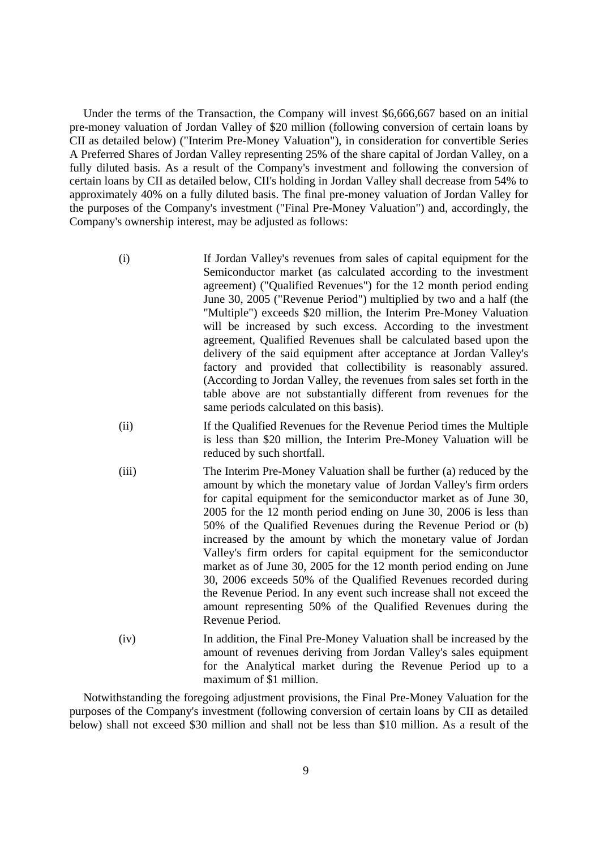Under the terms of the Transaction, the Company will invest \$6,666,667 based on an initial pre-money valuation of Jordan Valley of \$20 million (following conversion of certain loans by CII as detailed below) ("Interim Pre-Money Valuation"), in consideration for convertible Series A Preferred Shares of Jordan Valley representing 25% of the share capital of Jordan Valley, on a fully diluted basis. As a result of the Company's investment and following the conversion of certain loans by CII as detailed below, CII's holding in Jordan Valley shall decrease from 54% to approximately 40% on a fully diluted basis. The final pre-money valuation of Jordan Valley for the purposes of the Company's investment ("Final Pre-Money Valuation") and, accordingly, the Company's ownership interest, may be adjusted as follows:

- (i) If Jordan Valley's revenues from sales of capital equipment for the Semiconductor market (as calculated according to the investment agreement) ("Qualified Revenues") for the 12 month period ending June 30, 2005 ("Revenue Period") multiplied by two and a half (the "Multiple") exceeds \$20 million, the Interim Pre-Money Valuation will be increased by such excess. According to the investment agreement, Qualified Revenues shall be calculated based upon the delivery of the said equipment after acceptance at Jordan Valley's factory and provided that collectibility is reasonably assured. (According to Jordan Valley, the revenues from sales set forth in the table above are not substantially different from revenues for the same periods calculated on this basis).
- (ii) If the Qualified Revenues for the Revenue Period times the Multiple is less than \$20 million, the Interim Pre-Money Valuation will be reduced by such shortfall.
- (iii) The Interim Pre-Money Valuation shall be further (a) reduced by the amount by which the monetary value of Jordan Valley's firm orders for capital equipment for the semiconductor market as of June 30, 2005 for the 12 month period ending on June 30, 2006 is less than 50% of the Qualified Revenues during the Revenue Period or (b) increased by the amount by which the monetary value of Jordan Valley's firm orders for capital equipment for the semiconductor market as of June 30, 2005 for the 12 month period ending on June 30, 2006 exceeds 50% of the Qualified Revenues recorded during the Revenue Period. In any event such increase shall not exceed the amount representing 50% of the Qualified Revenues during the Revenue Period.
- (iv) In addition, the Final Pre-Money Valuation shall be increased by the amount of revenues deriving from Jordan Valley's sales equipment for the Analytical market during the Revenue Period up to a maximum of \$1 million.

Notwithstanding the foregoing adjustment provisions, the Final Pre-Money Valuation for the purposes of the Company's investment (following conversion of certain loans by CII as detailed below) shall not exceed \$30 million and shall not be less than \$10 million. As a result of the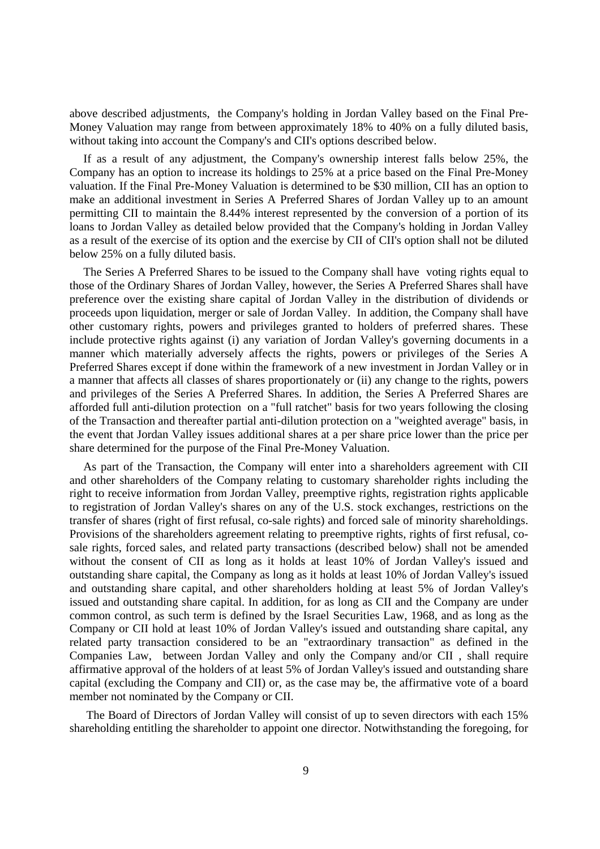above described adjustments, the Company's holding in Jordan Valley based on the Final Pre-Money Valuation may range from between approximately 18% to 40% on a fully diluted basis, without taking into account the Company's and CII's options described below.

If as a result of any adjustment, the Company's ownership interest falls below 25%, the Company has an option to increase its holdings to 25% at a price based on the Final Pre-Money valuation. If the Final Pre-Money Valuation is determined to be \$30 million, CII has an option to make an additional investment in Series A Preferred Shares of Jordan Valley up to an amount permitting CII to maintain the 8.44% interest represented by the conversion of a portion of its loans to Jordan Valley as detailed below provided that the Company's holding in Jordan Valley as a result of the exercise of its option and the exercise by CII of CII's option shall not be diluted below 25% on a fully diluted basis.

The Series A Preferred Shares to be issued to the Company shall have voting rights equal to those of the Ordinary Shares of Jordan Valley, however, the Series A Preferred Shares shall have preference over the existing share capital of Jordan Valley in the distribution of dividends or proceeds upon liquidation, merger or sale of Jordan Valley. In addition, the Company shall have other customary rights, powers and privileges granted to holders of preferred shares. These include protective rights against (i) any variation of Jordan Valley's governing documents in a manner which materially adversely affects the rights, powers or privileges of the Series A Preferred Shares except if done within the framework of a new investment in Jordan Valley or in a manner that affects all classes of shares proportionately or (ii) any change to the rights, powers and privileges of the Series A Preferred Shares. In addition, the Series A Preferred Shares are afforded full anti-dilution protection on a "full ratchet" basis for two years following the closing of the Transaction and thereafter partial anti-dilution protection on a "weighted average" basis, in the event that Jordan Valley issues additional shares at a per share price lower than the price per share determined for the purpose of the Final Pre-Money Valuation.

As part of the Transaction, the Company will enter into a shareholders agreement with CII and other shareholders of the Company relating to customary shareholder rights including the right to receive information from Jordan Valley, preemptive rights, registration rights applicable to registration of Jordan Valley's shares on any of the U.S. stock exchanges, restrictions on the transfer of shares (right of first refusal, co-sale rights) and forced sale of minority shareholdings. Provisions of the shareholders agreement relating to preemptive rights, rights of first refusal, cosale rights, forced sales, and related party transactions (described below) shall not be amended without the consent of CII as long as it holds at least 10% of Jordan Valley's issued and outstanding share capital, the Company as long as it holds at least 10% of Jordan Valley's issued and outstanding share capital, and other shareholders holding at least 5% of Jordan Valley's issued and outstanding share capital. In addition, for as long as CII and the Company are under common control, as such term is defined by the Israel Securities Law, 1968, and as long as the Company or CII hold at least 10% of Jordan Valley's issued and outstanding share capital, any related party transaction considered to be an "extraordinary transaction" as defined in the Companies Law, between Jordan Valley and only the Company and/or CII , shall require affirmative approval of the holders of at least 5% of Jordan Valley's issued and outstanding share capital (excluding the Company and CII) or, as the case may be, the affirmative vote of a board member not nominated by the Company or CII.

 The Board of Directors of Jordan Valley will consist of up to seven directors with each 15% shareholding entitling the shareholder to appoint one director. Notwithstanding the foregoing, for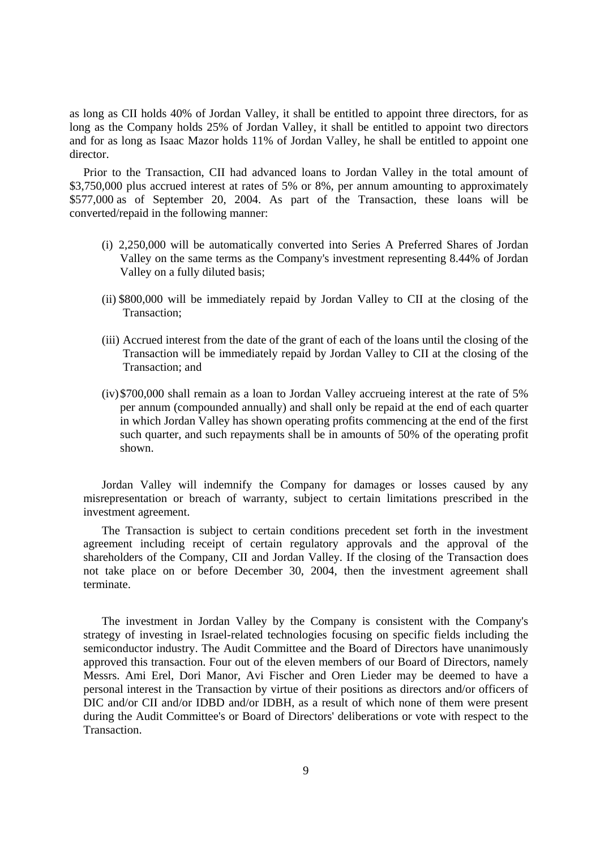as long as CII holds 40% of Jordan Valley, it shall be entitled to appoint three directors, for as long as the Company holds 25% of Jordan Valley, it shall be entitled to appoint two directors and for as long as Isaac Mazor holds 11% of Jordan Valley, he shall be entitled to appoint one director.

Prior to the Transaction, CII had advanced loans to Jordan Valley in the total amount of \$3,750,000 plus accrued interest at rates of 5% or 8%, per annum amounting to approximately \$577,000 as of September 20, 2004. As part of the Transaction, these loans will be converted/repaid in the following manner:

- (i) 2,250,000 will be automatically converted into Series A Preferred Shares of Jordan Valley on the same terms as the Company's investment representing 8.44% of Jordan Valley on a fully diluted basis;
- (ii) \$800,000 will be immediately repaid by Jordan Valley to CII at the closing of the Transaction;
- (iii) Accrued interest from the date of the grant of each of the loans until the closing of the Transaction will be immediately repaid by Jordan Valley to CII at the closing of the Transaction; and
- (iv)\$700,000 shall remain as a loan to Jordan Valley accrueing interest at the rate of 5% per annum (compounded annually) and shall only be repaid at the end of each quarter in which Jordan Valley has shown operating profits commencing at the end of the first such quarter, and such repayments shall be in amounts of 50% of the operating profit shown.

Jordan Valley will indemnify the Company for damages or losses caused by any misrepresentation or breach of warranty, subject to certain limitations prescribed in the investment agreement.

The Transaction is subject to certain conditions precedent set forth in the investment agreement including receipt of certain regulatory approvals and the approval of the shareholders of the Company, CII and Jordan Valley. If the closing of the Transaction does not take place on or before December 30, 2004, then the investment agreement shall terminate.

The investment in Jordan Valley by the Company is consistent with the Company's strategy of investing in Israel-related technologies focusing on specific fields including the semiconductor industry. The Audit Committee and the Board of Directors have unanimously approved this transaction. Four out of the eleven members of our Board of Directors, namely Messrs. Ami Erel, Dori Manor, Avi Fischer and Oren Lieder may be deemed to have a personal interest in the Transaction by virtue of their positions as directors and/or officers of DIC and/or CII and/or IDBD and/or IDBH, as a result of which none of them were present during the Audit Committee's or Board of Directors' deliberations or vote with respect to the Transaction.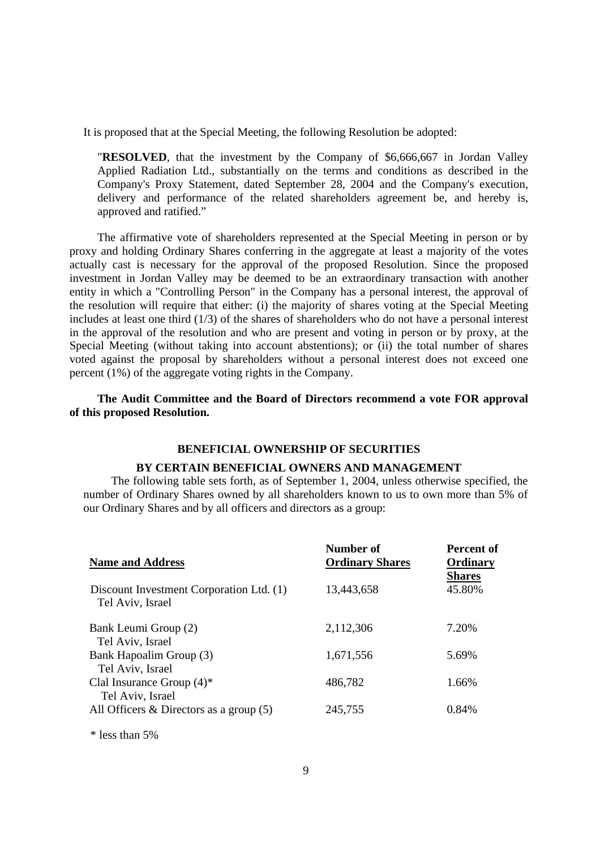It is proposed that at the Special Meeting, the following Resolution be adopted:

"**RESOLVED**, that the investment by the Company of \$6,666,667 in Jordan Valley Applied Radiation Ltd., substantially on the terms and conditions as described in the Company's Proxy Statement, dated September 28, 2004 and the Company's execution, delivery and performance of the related shareholders agreement be, and hereby is, approved and ratified."

The affirmative vote of shareholders represented at the Special Meeting in person or by proxy and holding Ordinary Shares conferring in the aggregate at least a majority of the votes actually cast is necessary for the approval of the proposed Resolution. Since the proposed investment in Jordan Valley may be deemed to be an extraordinary transaction with another entity in which a "Controlling Person" in the Company has a personal interest, the approval of the resolution will require that either: (i) the majority of shares voting at the Special Meeting includes at least one third (1/3) of the shares of shareholders who do not have a personal interest in the approval of the resolution and who are present and voting in person or by proxy, at the Special Meeting (without taking into account abstentions); or (ii) the total number of shares voted against the proposal by shareholders without a personal interest does not exceed one percent (1%) of the aggregate voting rights in the Company.

**The Audit Committee and the Board of Directors recommend a vote FOR approval of this proposed Resolution.** 

## **BENEFICIAL OWNERSHIP OF SECURITIES**

#### **BY CERTAIN BENEFICIAL OWNERS AND MANAGEMENT**

The following table sets forth, as of September 1, 2004, unless otherwise specified, the number of Ordinary Shares owned by all shareholders known to us to own more than 5% of our Ordinary Shares and by all officers and directors as a group:

| <b>Name and Address</b>                                      | Number of<br><b>Ordinary Shares</b> | <b>Percent of</b><br>Ordinary<br><b>Shares</b> |
|--------------------------------------------------------------|-------------------------------------|------------------------------------------------|
| Discount Investment Corporation Ltd. (1)<br>Tel Aviv, Israel | 13,443,658                          | 45.80%                                         |
| Bank Leumi Group (2)<br>Tel Aviv, Israel                     | 2,112,306                           | 7.20%                                          |
| Bank Hapoalim Group (3)<br>Tel Aviv, Israel                  | 1,671,556                           | 5.69%                                          |
| Clal Insurance Group $(4)^*$<br>Tel Aviv, Israel             | 486,782                             | 1.66%                                          |
| All Officers $\&$ Directors as a group (5)                   | 245,755                             | 0.84%                                          |

\* less than 5%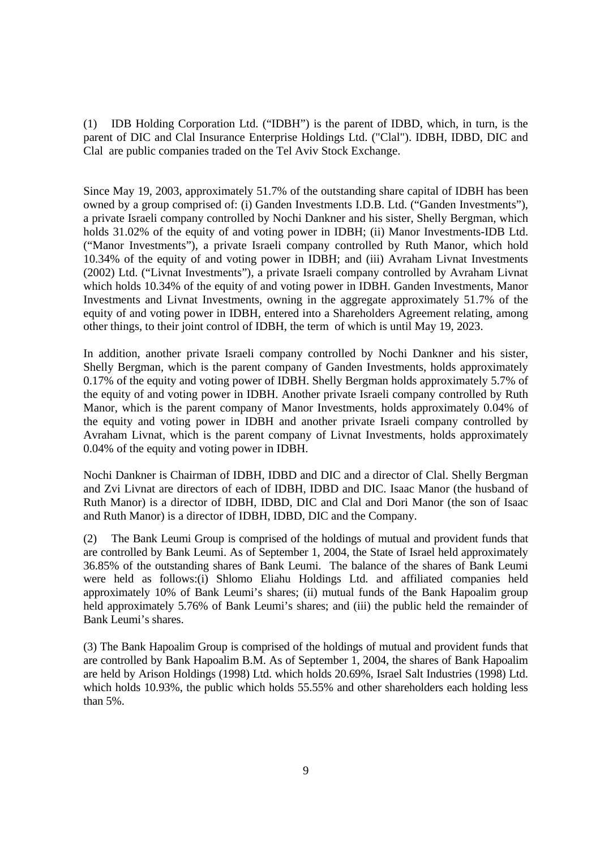(1) IDB Holding Corporation Ltd. ("IDBH") is the parent of IDBD, which, in turn, is the parent of DIC and Clal Insurance Enterprise Holdings Ltd. ("Clal"). IDBH, IDBD, DIC and Clal are public companies traded on the Tel Aviv Stock Exchange.

Since May 19, 2003, approximately 51.7% of the outstanding share capital of IDBH has been owned by a group comprised of: (i) Ganden Investments I.D.B. Ltd. ("Ganden Investments"), a private Israeli company controlled by Nochi Dankner and his sister, Shelly Bergman, which holds 31.02% of the equity of and voting power in IDBH; (ii) Manor Investments-IDB Ltd. ("Manor Investments"), a private Israeli company controlled by Ruth Manor, which hold 10.34% of the equity of and voting power in IDBH; and (iii) Avraham Livnat Investments (2002) Ltd. ("Livnat Investments"), a private Israeli company controlled by Avraham Livnat which holds 10.34% of the equity of and voting power in IDBH. Ganden Investments, Manor Investments and Livnat Investments, owning in the aggregate approximately 51.7% of the equity of and voting power in IDBH, entered into a Shareholders Agreement relating, among other things, to their joint control of IDBH, the term of which is until May 19, 2023.

In addition, another private Israeli company controlled by Nochi Dankner and his sister, Shelly Bergman, which is the parent company of Ganden Investments, holds approximately 0.17% of the equity and voting power of IDBH. Shelly Bergman holds approximately 5.7% of the equity of and voting power in IDBH. Another private Israeli company controlled by Ruth Manor, which is the parent company of Manor Investments, holds approximately 0.04% of the equity and voting power in IDBH and another private Israeli company controlled by Avraham Livnat, which is the parent company of Livnat Investments, holds approximately 0.04% of the equity and voting power in IDBH.

Nochi Dankner is Chairman of IDBH, IDBD and DIC and a director of Clal. Shelly Bergman and Zvi Livnat are directors of each of IDBH, IDBD and DIC. Isaac Manor (the husband of Ruth Manor) is a director of IDBH, IDBD, DIC and Clal and Dori Manor (the son of Isaac and Ruth Manor) is a director of IDBH, IDBD, DIC and the Company.

 (2) The Bank Leumi Group is comprised of the holdings of mutual and provident funds that are controlled by Bank Leumi. As of September 1, 2004, the State of Israel held approximately 36.85% of the outstanding shares of Bank Leumi. The balance of the shares of Bank Leumi were held as follows:(i) Shlomo Eliahu Holdings Ltd. and affiliated companies held approximately 10% of Bank Leumi's shares; (ii) mutual funds of the Bank Hapoalim group held approximately 5.76% of Bank Leumi's shares; and (iii) the public held the remainder of Bank Leumi's shares.

 (3) The Bank Hapoalim Group is comprised of the holdings of mutual and provident funds that are controlled by Bank Hapoalim B.M. As of September 1, 2004, the shares of Bank Hapoalim are held by Arison Holdings (1998) Ltd. which holds 20.69%, Israel Salt Industries (1998) Ltd. which holds 10.93%, the public which holds 55.55% and other shareholders each holding less than 5%.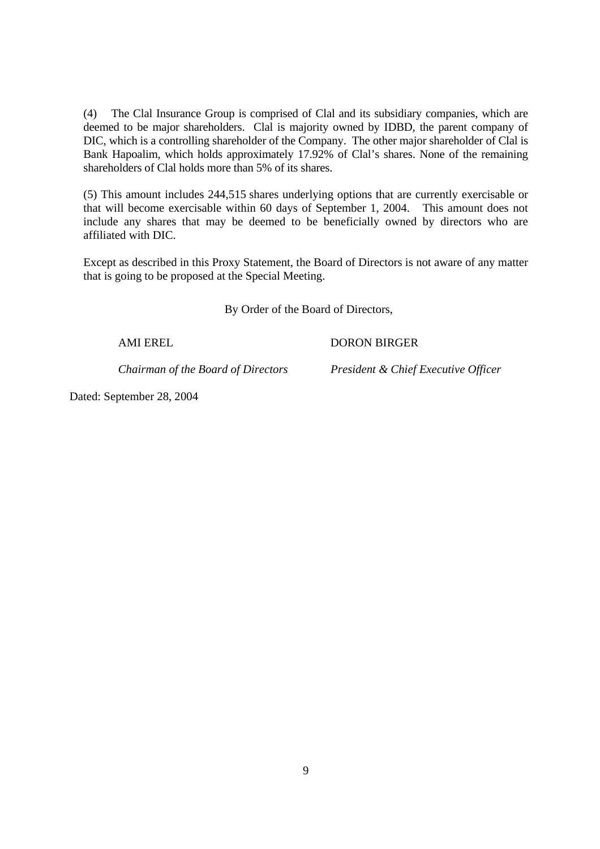(4) The Clal Insurance Group is comprised of Clal and its subsidiary companies, which are deemed to be major shareholders. Clal is majority owned by IDBD, the parent company of DIC, which is a controlling shareholder of the Company. The other major shareholder of Clal is Bank Hapoalim, which holds approximately 17.92% of Clal's shares. None of the remaining shareholders of Clal holds more than 5% of its shares.

 (5) This amount includes 244,515 shares underlying options that are currently exercisable or that will become exercisable within 60 days of September 1, 2004. This amount does not include any shares that may be deemed to be beneficially owned by directors who are affiliated with DIC.

Except as described in this Proxy Statement, the Board of Directors is not aware of any matter that is going to be proposed at the Special Meeting.

By Order of the Board of Directors,

AMI EREL DORON BIRGER

*Chairman of the Board of Directors President & Chief Executive Officer* 

Dated: September 28, 2004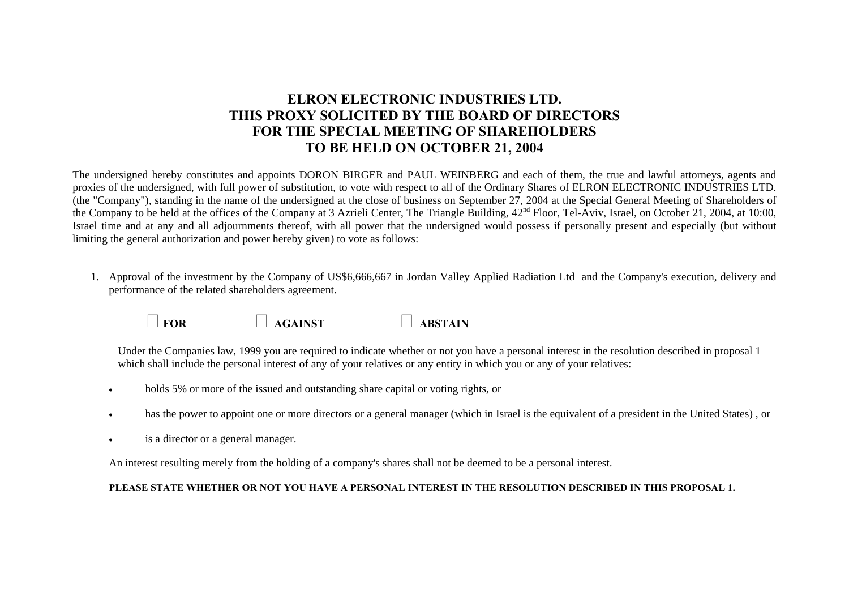# **ELRON ELECTRONIC INDUSTRIES LTD. THIS PROXY SOLICITED BY THE BOARD OF DIRECTORS FOR THE SPECIAL MEETING OF SHAREHOLDERS TO BE HELD ON OCTOBER 21, 2004**

The undersigned hereby constitutes and appoints DORON BIRGER and PAUL WEINBERG and each of them, the true and lawful attorneys, agents and proxies of the undersigned, with full power of substitution, to vote with respect to all of the Ordinary Shares of ELRON ELECTRONIC INDUSTRIES LTD. (the "Company"), standing in the name of the undersigned at the close of business on September 27, 2004 at the Special General Meeting of Shareholders of the Company to be held at the offices of the Company at 3 Azrieli Center, The Triangle Building, 42nd Floor, Tel-Aviv, Israel, on October 21, 2004, at 10:00, Israel time and at any and all adjournments thereof, with all power that the undersigned would possess if personally present and especially (but without limiting the general authorization and power hereby given) to vote as follows:

1. Approval of the investment by the Company of US\$6,666,667 in Jordan Valley Applied Radiation Ltd and the Company's execution, delivery and performance of the related shareholders agreement.

| $\Box$ FOR | $\Box$ AGAINST | $\Box$ ABSTAIN |
|------------|----------------|----------------|
|            |                |                |

Under the Companies law, 1999 you are required to indicate whether or not you have a personal interest in the resolution described in proposal 1 which shall include the personal interest of any of your relatives or any entity in which you or any of your relatives:

- •holds 5% or more of the issued and outstanding share capital or voting rights, or
- •has the power to appoint one or more directors or a general manager (which in Israel is the equivalent of a president in the United States) , or
- •is a director or a general manager.

An interest resulting merely from the holding of a company's shares shall not be deemed to be a personal interest.

### **PLEASE STATE WHETHER OR NOT YOU HAVE A PERSONAL INTEREST IN THE RESOLUTION DESCRIBED IN THIS PROPOSAL 1.**